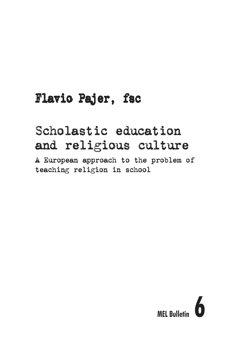# Flavio Pajer, fsc

# Scholastic education and religious culture

A European approach to the problem of teaching religion in school

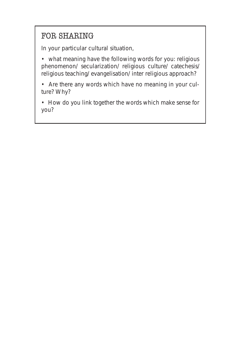## FOR SHARING

In your particular cultural situation,

• what meaning have the following words for you: religious phenomenon/ secularization/ religious culture/ catechesis/ religious teaching/ evangelisation/ inter religious approach?

• Are there any words which have no meaning in your culture? Why?

• How do you link together the words which make sense for you?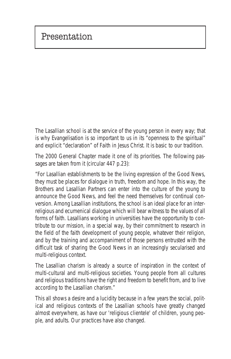The Lasallian school is at the service of the young person in every way; that is why Evangelisation is so important to us in its "openness to the spiritual" and explicit "declaration" of Faith in Jesus Christ. It is basic to our tradition.

The 2000 General Chapter made it one of its priorities. The following passages are taken from it (circular 447 p.23):

*"For Lasallian establishments to be the living expression of the Good News, they must be places for dialogue in truth, freedom and hope. In this way, the Brothers and Lasallian Partners can enter into the culture of the young to announce the Good News, and feel the need themselves for continual conversion. Among Lasallian institutions, the school is an ideal place for an interreligious and ecumenical dialogue which will bear witness to the values of all forms of faith. Lasallians working in universities have the opportunity to contribute to our mission, in a special way, by their commitment to research in the field of the faith development of young people, whatever their religion, and by the training and accompaniment of those persons entrusted with the difficult task of sharing the Good News in an increasingly secularised and multi-religious context.*

*The Lasallian charism is already a source of inspiration in the context of multi-cultural and multi-religious societies. Young people from all cultures and religious traditions have the right and freedom to benefit from, and to live according to the Lasallian charism."*

This all shows a desire and a lucidity because in a few years the social, political and religious contexts of the Lasallian schools have greatly changed almost everywhere, as have our 'religious clientele' of children, young people, and adults. Our practices have also changed.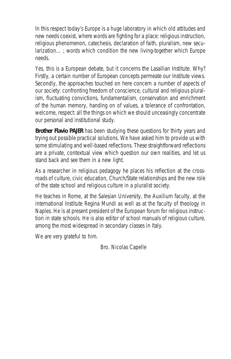In this respect today's Europe is a huge laboratory in which old attitudes and new needs coexist, where words are fighting for a place: religious instruction, religious phenomenon, catechesis, declaration of faith, pluralism, new secularization… ; words which condition the new living-together which Europe needs.

Yes, this is a European debate, but it concerns the Lasallian Institute. Why? Firstly, a certain number of European concepts permeate our Institute views. Secondly, the approaches touched on here concern a number of aspects of our society: confronting freedom of conscience, cultural and religious pluralism, fluctuating convictions, fundamentalism, conservation and enrichment of the human memory, handing on of values, a tolerance of confrontation, welcome, respect: all the things on which we should unceasingly concentrate our personal and institutional study.

**Brother Flavio PAJER** has been studying these questions for thirty years and trying out possible practical solutions. We have asked him to provide us with some stimulating and well-based reflections. These straightforward reflections are a private, contextual view which question our own realities, and let us stand back and see them in a new light.

As a researcher in religious pedagogy he places his reflection at the crossroads of culture, civic education, Church/State relationships and the new role of the state school and religious culture in a pluralist society.

He teaches in Rome, at the Salesian University, the Auxilium faculty, at the international Institute Regina Mundi as well as at the faculty of theology in Naples. He is at present president of the European forum for religious instruction in state schools. He is also editor of school manuals of religious culture, among the most widespread in secondary classes in Italy.

We are very grateful to him.

Bro. Nicolas Capelle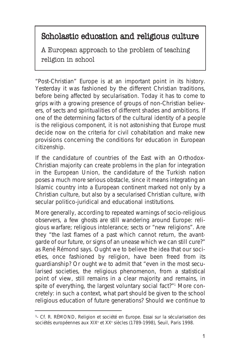## Scholastic education and religious culture

A European approach to the problem of teaching religion in school

"Post-Christian" Europe is at an important point in its history. Yesterday it was fashioned by the different Christian traditions, before being affected by secularisation. Today it has to come to grips with a growing presence of groups of non-Christian believers, of sects and spiritualities of different shades and ambitions. If one of the determining factors of the cultural identity of a people is the religious component, it is not astonishing that Europe must decide now on the criteria for civil cohabitation and make new provisions concerning the conditions for education in *European citizenship*.

If the candidature of countries of the East with an Orthodox-Christian majority can create problems in the plan for integration in the European Union, the candidature of the Turkish nation poses a much more serious obstacle, since it means integrating an Islamic country into a European continent marked not only by a *Christian* culture, but also by a *secularised* Christian culture, with *secular* politico-juridical and educational institutions.

More generally, according to repeated warnings of socio-religious observers, a few ghosts are still wandering around Europe: religious warfare; religious intolerance; sects or "new religions". Are they "the last flames of a past which cannot return, the avantgarde of our future, or signs of an unease which we can still cure?" as René Rémond says. Ought we to believe the idea that our societies, once fashioned by religion, have been freed from its guardianship? Or ought we to admit that "even in the most secularised societies, the religious phenomenon, from a statistical point of view, still remains in a clear majority and remains, in spite of everything, the largest voluntary social fact?"<sup>1</sup> More concretely: in such a context, what part should be given to the school religious education of future generations? Should we continue to

<sup>&</sup>lt;sup>1</sup>- Cf. R. RÉMOND, Religion et société en Europe. Essai sur la sécularisation des sociétés européennes aux XIX<sup>e</sup> et XX<sup>e</sup> siècles (1789-1998), Seuil, Paris 1998.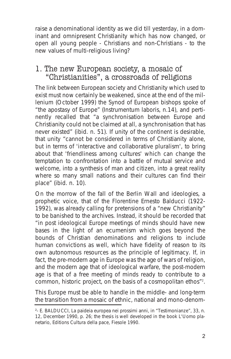raise a denominational identity as we did till yesterday, in a dominant and omnipresent Christianity which has now changed, or open all young people - Christians and non-Christians - to the new values of multi-religious living?

#### 1. The new European society, a mosaic of "Christianities", a crossroads of religions

The link between European society and Christianity which used to exist must now certainly be weakened, since at the end of the millenium (October 1999) the Synod of European bishops spoke of "the apostasy of Europe" (*Instrumentum laboris*, n.14), and pertinently recalled that "a synchronisation between Europe and Christianity could not be claimed at all, a synchronisation that has never existed" (ibid. n. 51). If unity of the continent is desirable, that unity "cannot be considered in terms of Christianity alone, but in terms of 'interactive and collaborative pluralism', to bring about that '*friendliness among cultures*' which can change the temptation to confrontation into a battle of mutual service and welcome, into a synthesis of man and citizen, into a great reality where so many small nations and their cultures can find their place" (*ibid.* n. 10).

On the morrow of the fall of the Berlin Wall and ideologies, a prophetic voice, that of the Florentine Ernesto Balducci (1922- 1992), was already calling for pretensions of a "new Christianity" to be banished to the archives. Instead, it should be recorded that "in post ideological Europe meetings of minds should have new bases in the light of an ecumenism which goes beyond the bounds of Christian denominations and religions to include human convictions as well, which have fidelity of reason to its own autonomous resources as the principle of legitimacy. If, in fact, the pre-modern age in Europe was the age of wars of religion, and the modern age that of ideological warfare, the post-modern age is that of a free meeting of minds ready to contribute to a common, historic project, on the basis of a cosmopolitan ethos"2 .

This Europe must be able to handle in the middle- and long-term the transition from a mosaic of ethnic, national and mono-denom-

²- E. BALDUCCI, La paideia europea nei prossimi anni, in "Testimonianze", 33, n. 12, December 1990, p. 26; the thesis is well developed in the book L'Uomo planetario, Editions Cultura della pace, Fiesole 1990.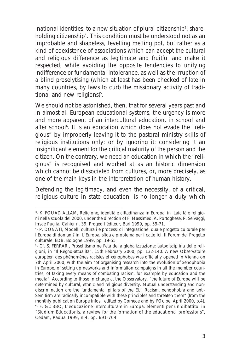inational identities, to a new situation of *plural citizenship<sup>3</sup>, shareholding citizenship4* . This condition must be understood not as an improbable and shapeless, levelling melting pot, but rather as a kind of coexistence of associations which can accept the cultural and religious difference as legitimate and fruitful and make it respected, while avoiding the opposite tendencies to unifying indifference or fundamental intolerance, as well as the irruption of a blind proselytising (which at least has been checked of late in many countries, by laws to curb the missionary activity of traditional and new religions)<sup>5</sup>.

We should not be astonished, then, that for several years past and in almost all European educational systems, the urgency is more and more apparent of an *intercultural education*, in school and after school<sup>6</sup>. It is an education which does not evade the "religious" by improperly leaving it to the pastoral ministry skills of religious institutions only; or by ignoring it: considering it an insignificant element for the critical maturity of the person and the citizen. On the contrary, we need an education in which the "religious" is recognised and worked at as an historic dimension which cannot be dissociated from cultures, or, more precisely, as one of the main keys in the interpretation of human history.

Defending the legitimacy, and even the necessity, of a critical, religious culture in state education, is no longer a duty which

<sup>3-</sup> K. FOUAD ALLAM, Religione, identità e cittadinanza in Europa, in Laicità e religioni nella scuola del 2000, under the direction of F. Massimeo, A. Portoghese, P. Selvaggi, Irrsae Puglia, Cahier n. 39, Progedit éditeur, Bari 1999, pp. 59-71.

<sup>4</sup> - P. DONATI, Modelli culturali e processi di integrazione: quale progetto culturale per l'Europa di domani? in L'Europa, sfida e problema per i cattolici. Il Forum del Progetto culturale, EDB, Bologne 1999, pp. 19-55

<sup>5</sup> - Cf. S. FERRARI, Proselitismo nell'età della globalizzazione: autodisciplina delle religioni, in "Il Regno-attualità", 15th February 2000, pp. 132-140. A new Observatoire européen des phénomènes racistes et xénophobes was officially opened in Vienna on 7th April 2000, with the aim "of organising research into the evolution of xenophobia in Europe, of setting up networks and information campaigns in all the member countries, of taking every means of combating racism, for example by education and the media". According to those in charge at the Observatory, "the future of Europe will be determined by cultural, ethnic and religious diversity. Mutual understanding and nondiscrimination are the fundamental pillars of the EU. Racism, xenophobia and anti-Semitism are radically incompatible with these principles and threaten them" (from the monthly publication Europe infos, edited by Comece and by l'Ocipe, April 2000, p.4). 6 - F. GOBBO, L'educazione interculturale in Europa: elementi per un dibattito, in "Studium Educationis, a review for the formation of the educational professions", Cedam, Padua 1999, n.4, pp. 691-704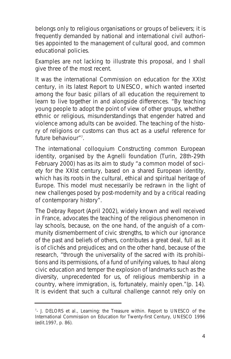belongs only to religious organisations or groups of believers; it is frequently demanded by national and international civil authorities appointed to the management of cultural good, and common educational policies.

Examples are not lacking to illustrate this proposal, and I shall give three of the most recent.

It was the international Commission on education for the XXIst century, in its latest Report to UNESCO, which wanted inserted among the four basic pillars of all education the requirement *to learn to live together in and alongside differences*. "By teaching young people to adopt the point of view of other groups, whether ethnic or religious, misunderstandings that engender hatred and violence among adults can be avoided. The teaching of the history of religions or customs can thus act as a useful reference for future behaviour"<sup>7</sup>.

The international colloquium *Constructing common European identity*, organised by the Agnelli foundation (Turin, 28th-29th February 2000) has as its aim to study "a common model of society for the XXIst century, based on a shared European identity, which has its roots in the cultural, ethical and spiritual heritage of Europe. This model must necessarily be redrawn in the light of new challenges posed by post-modernity and by a critical reading of contemporary history".

The Debray Report (April 2002), widely known and well received in France, advocates *the teaching of the religious phenomenon* in lay schools, because, on the one hand, of the anguish of a community dismemberment of civic strengths, to which our *ignorance* of the past and beliefs of others, contributes a great deal, full as it is of clichés and prejudices; and on the other hand, because of the research, "through the universality of the sacred with its prohibitions and its permissions, of a *fund of unifying values*, to haul along civic education and temper the explosion of landmarks such as the diversity, unprecedented for us, of religious membership in a country, where immigration, is, fortunately, mainly open."(p. 14). It is evident that such a cultural challenge cannot rely only on

<sup>&</sup>lt;sup>7</sup>- J. DELORS et al., Learning: the Treasure within. Report to UNESCO of the International Commission on Education for Twenty-first Century, UNESCO 1996 (edit.1997, p. 86).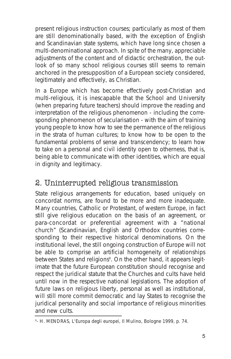present religious instruction courses; particularly as most of them are still denominationally based, with the exception of English and Scandinavian state systems, which have long since chosen a multi-denominational approach. In spite of the many, appreciable adjustments of the content and of didactic orchestration, the outlook of so many school religious courses still seems to remain anchored in the presupposition of a European society considered, legitimately and effectively, as Christian.

In a Europe which has become effectively post-Christian and multi-religious, it is inescapable that the School and University (when preparing future teachers) should improve the reading and interpretation of the religious phenomenon - including the corresponding phenomenon of secularisation - with the aim of training young people to know how to see the permanence of the religious in the strata of human cultures; to know how to be open to the fundamental problems of sense and transcendency; to learn how to take on a personal and civil *identity* open to *otherness*, that is, being able to communicate with other identities, which are equal in dignity and legitimacy.

## 2. Uninterrupted religious transmission

State religious arrangements for education, based uniquely on concordat norms, are found to be more and more inadequate. Many countries, Catholic or Protestant, of western Europe, in fact still give religious education on the basis of an agreement, or para-concordat or preferential agreement with a "national church" (Scandinavian, English and Orthodox countries corresponding to their respective historical denominations. On the institutional level, the still ongoing construction of Europe will not be able to comprise an artificial homogeneity of relationships between States and religions<sup>8</sup>. On the other hand, it appears legitimate that the future European constitution should recognise and respect the juridical statute that the Churches and cults have held until now in the respective national legislations. The adoption of future laws on religious liberty, personal as well as institutional, will still more commit democratic and lay States to recognise the juridical personality and social importance of religious minorities and new cults.

<sup>8</sup> - H. MENDRAS, L'Europa degli europei, Il Mulino, Bologne 1999, p. 74.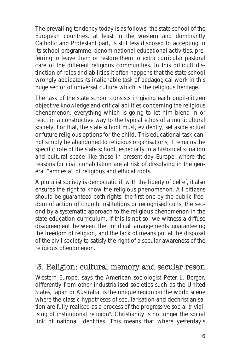The prevailing tendency today is as follows: *the state school* of the European countries, at least in the western and dominantly Catholic and Protestant part, is still less disposed to accepting in its school programme, denominational educational activities, preferring to leave them or restore them to extra curricular pastoral care of the different religious communities. In this difficult distinction of roles and abilities it often happens that the state school wrongly abdicates its inalienable task of pedagogical work in this huge sector of universal culture which is the religious heritage.

The task of the state school consists in giving each pupil-citizen objective knowledge and critical abilities concerning the religious phenomenon, everything which is going to let him blend in or react in a constructive way to the typical ethos of a multicultural society. For that, the state school must, evidently, set aside actual or future religious options for the child. This educational task cannot simply be abandoned to religious organisations; it remains the specific role of the state school, especially in a historical situation and cultural space like those in present-day Europe, where the reasons for civil cohabitation are at risk of dissolving in the general "amnesia" of religious and ethical roots.

A pluralist society is democratic if, with the *liberty of belief*, it also ensures the *right to know* the religious phenomenon. All citizens should be guaranteed both rights: the first one by the public freedom of action of church institutions or recognised cults, the second by a systematic approach to the religious phenomenon in the state education curriculum. If this is not so, we witness a diffuse disagreement between the juridical arrangements guaranteeing the freedom of religion, and the lack of means put at the disposal of the civil society to satisfy the right of a secular awareness of the religious phenomenon.

### 3. Religion: cultural memory and secular reson

Western Europe, says the American sociologist Peter L. Berger, differently from other industrialised societies such as the United States, Japan or Australia, is the unique region on the world scene where the classic hypotheses of secularisation and dechristianisation are fully realised as a process of the progressive social trivialising of institutional religion<sup>9</sup>. Christianity is no longer the social link of national identities. This means that where yesterday's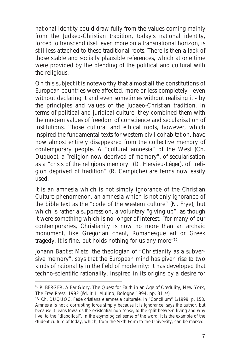national identity could draw fully from the values coming mainly from the Judaeo-Christian tradition, today's national identity, forced to transcend itself even more on a transnational horizon, is still less attached to these traditional roots. There is then a lack of those stable and socially plausible references, which at one time were provided by the blending of the political and cultural with the religious.

On this subject it is noteworthy that almost all the constitutions of European countries were affected, more or less completely - even without declaring it and even sometimes without realising it - by the principles and values of the Judaeo-Christian tradition. In terms of political and juridical culture, they combined them with the modern values of freedom of conscience and secularisation of institutions. Those cultural and ethical roots, however, which inspired the fundamental texts for western civil cohabitation, have now almost entirely disappeared from the collective memory of contemporary people. A "cultural amnesia" of the West (Ch. Duquoc), a "religion now deprived of memory", of secularisation as a "crisis of the religious memory" (D. Hervieu-Léger), of "religion deprived of tradition" (R. Campiche) are terms now easily used.

It is an amnesia which is not simply ignorance of the Christian Culture phenomenon, an amnesia which is not only ignorance of the bible text as the "code of the western culture" (N. Frye), but which is rather a suppression, a voluntary "giving up", as though it were something which is no longer of interest: "for many of our contemporaries, Christianity is now no more than an archaic monument, like Gregorian chant, Romanesque art or Greek tragedy. It is fine, but holds nothing for us any more"10.

Johann Baptist Metz, the theologian of "Christianity as a subversive memory", says that the European mind has given rise to two kinds of rationality in the field of modernity: it has developed that techno-scientific rationality, inspired in its origins by a desire for

<sup>9</sup> - P. BERGER, A Far Glory. The Quest for Faith in an Age of Credulity, New York, The Free Press, 1992 (éd. it. Il Mulino, Bologne 1994, pp. 31 ss).

<sup>&</sup>lt;sup>10</sup>- Ch. DUQUOC, Fede cristiana e amnesia culturale, in "Concilium" 1/1999, p. 158. Amnesia is not a corrupting force simply because it is ignorance, says the author, but because it leans towards the existential non-sense, to the split between living and why live, to the "diabolical", in the etymological sense of the word. It is the example of the student culture of today, which, from the Sixth Form to the University, can be marked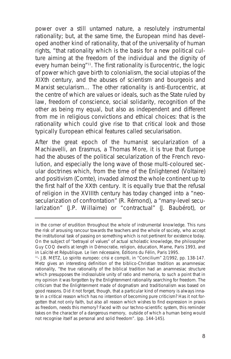power over a still untamed nature, a resolutely instrumental rationality; but, at the same time, the European mind has developed another kind of rationality, that of the universality of human rights, "that rationality which is the basis for a new political culture aiming at the freedom of the individual and the dignity of every human being"<sup>11</sup>. The first rationality is Eurocentric, the logic of power which gave birth to colonialism, the social utopias of the XIXth century, and the abuses of scientism and bourgeois and Marxist secularism… The other rationality is anti-Eurocentric, at the centre of which are values or ideals, such as the State ruled by law, freedom of conscience, social solidarity, recognition of the other as being my equal, but also as independent and different from me in religious convictions and ethical choices: that is the rationality which could give rise to that critical look and those typically European ethical features called *secularisation*.

After the great epoch of the humanist secularization of a Machiavelli, an Erasmus, a Thomas More, it is true that Europe had the abuses of the political secularization of the French revolution, and especially the long wave of those multi-coloured secular doctrines which, from the time of the Enlightened (Voltaire) and positivism (Comte), invaded almost the whole continent up to the first half of the XXth century. It is equally true that the refusal of religion in the XVIIIth century has today changed into a "neosecularization of confrontation" (R. Rémond), a "many-level secularization" (J.P. Willaime) or "contractual" (J. Baubérot), or

in the corner of erudition throughout the whole of instrumental knowledge. This runs the risk of arousing rancour towards the teachers and the whole of society, who accept the institutional task of passing on something which is not pertinent for existence today. On the subject of "betrayal of values" of actual scholastic knowledge, the philosopher Guy COQ dwells at length in Démocratie, religion, éducation, Mame, Paris 1993, and in Laïcité et République. Le lien nécessaire, Éditions du Félin, Paris 1995.

<sup>11-</sup> J.B. METZ, Lo spirito europeo: crisi e compiti, in "Concilium" 2/1992, pp. 138-147. Metz gives an interesting definition of the biblico-Christian tradition as anamnesiac rationality, "the true rationality of the biblical tradition had an anamnesiac structure which presupposes the indissoluble unity of ratio and memoria, to such a point that in my opinion it was forgotten by the Enlightenment rationality searching for freedom. The criticism that the Enlightenment made of dogmatism and traditionalism was based on good reasons. Did it not forget, though, that a particular kind of memory is always innate in a critical reason which has no intention of becoming pure criticism? Has it not forgotten that not only faith, but also all reason which wishes to find expression in praxis as freedom, needs this memory? Faced with our techno-scientific system, this reminder takes on the character of a dangerous memory, outside of which a human being would not recognise itself as personal and solid freedom". (pp. 144-145).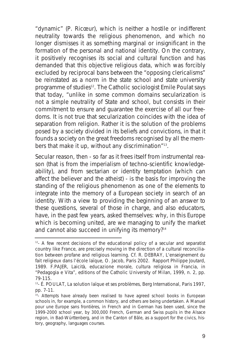"dynamic" (P. Ricœur), which is neither a hostile or indifferent neutrality towards the religious phenomenon, and which no longer dismisses it as something marginal or insignificant in the formation of the personal and national identity. On the contrary, it positively recognises its social and cultural function and has demanded that this objective religious data, which was forcibly excluded by reciprocal bans between the "opposing clericalisms" be reinstated as a norm in the state school and state university programme of studies<sup>12</sup>. The Catholic sociologist Emile Poulat says that today, "unlike in some common domains secularization is not a simple neutrality of State and school, but consists in their commitment to ensure and guarantee the exercise of all our freedoms. It is not true that secularization coincides with the idea of separation from religion. Rather it is *the solution* of the problems posed by a society divided in its beliefs and convictions, in that it founds a society on the great freedoms recognised by all the members that make it up, without any discrimination"<sup>13</sup>.

Secular reason, then - so far as it frees itself from instrumental reason (that is from the imperialism of techno-scientific knowledgeability), and from sectarian or identity temptation (which can affect the believer and the atheist) - is the basis for improving the standing of the religious phenomenon as one of the elements to integrate into the memory of a European society in search of an identity. With a view to providing the beginning of an answer to these questions, several of those in charge, and also educators, have, in the past few years, asked themselves: why, in this Europe which is becoming united, are we managing to unify the market and cannot also succeed in unifying its memory?<sup>14</sup>

 $12-$  A few recent decisions of the educational policy of a secular and separatist country like France, are precisely moving in the direction of a cultural reconciliation between profane and religious learning. Cf. R. DEBRAY, L'enseignement du fait religieux dans l'école laïque, O. Jacob, Paris 2002. Rapport Philippe Joutard, 1989. F.PAJER, Laicità, educazione morale, cultura religiosa in Francia, in "Pedagogia e Vita", editions of the Catholic University of Milan, 1999, n. 2, pp. 79-115.

<sup>&</sup>lt;sup>13</sup>- É. POULAT, La solution laïque et ses problèmes, Berg International, Paris 1997, pp. 7-11.

<sup>&</sup>lt;sup>14</sup>- Attempts have already been realised to have agreed school books in European schools in, for example, a common history, and others are being undertaken. A Manuel pour une Europe sans frontières, in French and in German has been used, since the 1999-2000 school year, by 300,000 French, German and Swiss pupils in the Alsace region, in Bad-Württenberg, and in the Canton of Bâle, as a support for the civics, history, geography, languages courses.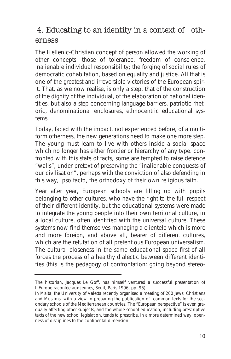## 4. Educating to an identity in a context of otherness

The Hellenic-Christian concept of person allowed the working of other concepts: those of tolerance, freedom of conscience, inalienable individual responsibility; the forging of social rules of democratic cohabitation, based on equality and justice. All that is one of the greatest and irreversible victories of the European spirit. That, as we now realise, is only a step, that of the construction of the dignity of the individual, of the elaboration of national identities, but also a step concerning language barriers, patriotic rhetoric, denominational enclosures, ethnocentric educational systems.

Today, faced with the impact, not experienced before, of a multiform otherness, the new generations need to make one more step. The young must learn to live with others inside a social space which no longer has either frontier or hierarchy of any type. confronted with this state of facts, some are tempted to raise defence "walls", under pretext of preserving the "inalienable conquests of our civilisation", perhaps with the conviction of also defending in this way, *ipso facto*, the orthodoxy of their own religious faith.

Year after year, European schools are filling up with pupils belonging to other cultures, who have the right to the full respect of their different identity, but the educational systems were made to integrate the young people into their own territorial culture, in a local culture, often identified with *the* universal culture. These systems now find themselves managing a clientele which is more and more foreign, and above all, bearer of different cultures, which are the refutation of all pretentious European universalism. The cultural closeness in the same educational space first of all forces the process of a healthy dialectic between different identities (this is the pedagogy of confrontation: going beyond stereo-

The historian, Jacques Le Goff, has himself ventured a successful presentation of L'Europe racontée aux jeunes, Seuil, Paris 1996, pp. 96).

In Malta, the University of Valetta recently organised a meeting of 200 Jews, Christians and Muslims, with a view to preparing the publication of common texts for the secondary schools of the Mediterranean countries. The "European perspective" is even gradually affecting other subjects, and the whole school education, including prescriptive texts of the new school legislation, tends to prescribe, in a more determined way, openness of disciplines to the continental dimension.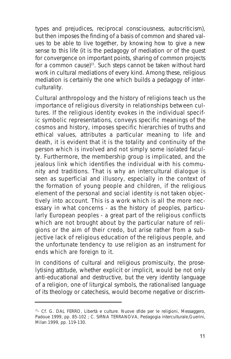types and prejudices, reciprocal consciousness, autocriticism), but then imposes the finding of a basis of common and shared values to be able to live together, by knowing how to give a new sense to this life (it is the pedagogy of mediation or of the quest for convergence on important points, sharing of common projects for a common cause)15. Such steps cannot be taken without hard work in cultural mediations of every kind. Among these, *religious mediation* is certainly the one which builds a pedagogy of *interculturality*.

Cultural anthropology and the history of religions teach us the importance of religious diversity in relationships between cultures. If the religious identity evokes in the individual specific symbolic representations, conveys specific meanings of the cosmos and history, imposes specific hierarchies of truths and ethical values, attributes a particular meaning to life and death, it is evident that it is the totality and continuity of the person which is involved and not simply some isolated faculty. Furthermore, the membership group is implicated, and the jealous link which identifies the individual with his community and traditions. That is why an intercultural dialogue is seen as superficial and illusory, especially in the context of the formation of young people and children, if the religious element of the personal and social identity is not taken objectively into account. This is a work which is all the more necessary in what concerns - as the history of peoples, particularly European peoples - a great part of the religious conflicts which are not brought about by the particular nature of religions or the aim of their credo, but arise rather from a subjective lack of religious education of the religious people, and the unfortunate tendency to use religion as an instrument for ends which are foreign to it.

In conditions of cultural and religious promiscuity, *the proselytising attitude*, whether explicit or implicit, would be not only anti-educational and destructive, but the very *identity language* of a religion, one of liturgical symbols, the rationalised language of its theology or catechesis, would become negative or discrim-

<sup>&</sup>lt;sup>15</sup>- Cf. G. DAL FERRO, Libertà e culture. Nuove sfide per le religioni, Messaggero, Padoue 1999, pp. 85-102 ; C. SIRNA TERRANOVA, Pedagogia interculturale, Guerini, Milan 1999, pp. 119-130.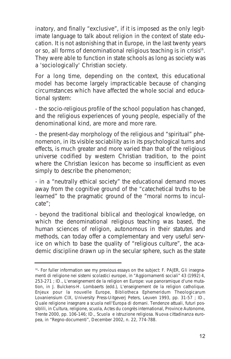inatory, and finally "exclusive", if it is imposed as the only legitimate language to talk about religion in the context of state education. It is not astonishing that in Europe, in the last twenty years or so, all forms of denominational religious teaching is in crisis<sup>16</sup>. They were able to function in state schools as long as society was a 'sociologically' Christian society.

For a long time, depending on the context, this educational model has become largely impracticable because of changing circumstances which have affected the whole social and educational system:

- the socio-religious profile of the school population has changed, and the religious experiences of young people, especially of the denominational kind, are more and more rare.

- the present-day morphology of the religious and "spiritual" phenomenon, in its visible sociability as in its psychological turns and effects, is much greater and more varied than that of the religious universe codified by western Christian tradition, to the point where the Christian lexicon has become so insufficient as even simply to describe the phenomenon;

- in a "neutrally ethical society" the educational demand moves away from the cognitive ground of the "catechetical truths to be learned" to the pragmatic ground of the "moral norms to inculcate";

- beyond the traditional biblical and theological knowledge, on which the denominational religious teaching was based, the human sciences of religion, autonomous in their statutes and methods, can today offer a complementary and very useful service on which to base the quality of "religious culture", the academic discipline drawn up in the secular sphere, such as the state

<sup>&</sup>lt;sup>16</sup>- For fuller information see my previous essays on the subject: F. PAJER, Gli insegnamenti di religione nei sistemi scolastici europei, in "Aggiornamenti sociali" 43 (1992) 4, 253-271 ; ID., L'enseignement de la religion en Europe: vue panoramique d'une mutation, in J. Bulckens-H. Lombaerts (edd.), L'enseignement de la religion catholique. Enjeux pour la nouvelle Europe, Bibliotheca Ephemeridum Theologicarum Lovaniensium CIX, University Press-Uitgeverj Peters, Leuven 1993, pp. 31-57 ; ID., Quale religione insegnare a scuola nell'Europa di domani. Tendenze attuali, futuri possiblili, in Cultura, religione, scuola, Actes du congrès international, Province Autonome, Trente 2000, pp. 106-146; ID., Scuola e istruzione religiosa. Nuova cittadinanza europea, in "Regno-documenti", December 2002, n. 22, 774-788.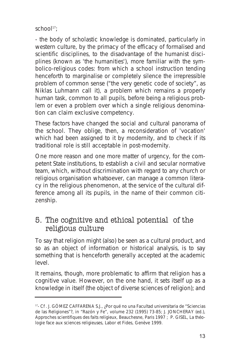$school<sup>17</sup>$ 

- the body of scholastic knowledge is dominated, particularly in western culture, by the primacy of the efficacy of formalised and scientific disciplines, to the disadvantage of the humanist disciplines (known as 'the humanities'), more familiar with the symbolico-religious codes: from which a school instruction tending henceforth to marginalise or completely silence the irrepressible problem of common sense ("the very genetic code of society", as Niklas Luhmann call it), a problem which remains a properly human task, common to all pupils, before being a religious problem or even a problem over which a single religious denomination can claim exclusive competency.

These factors have changed the social and cultural panorama of the school. They oblige, then, a reconsideration of 'vocation' which had been assigned to it by modernity, and to check if its traditional role is still acceptable in post-modernity.

One more reason and one more matter of urgency, for the competent State institutions, to establish a *civil and secular* normative team, which, without discrimination with regard to any church or religious organisation whatsoever, can manage a common literacy in the religious phenomenon, at the service of the *cultural difference* among all its pupils, in the name of their *common citizenship*.

### 5. The cognitive and ethical potential of the religious culture

To say that *religion* might (also) be seen as a cultural product, and so as an object of information or historical analysis, is to say something that is henceforth generally accepted at the academic level.

It remains, though, more problematic to affirm that religion has a cognitive *value*. However, on the one hand, it sets itself up as a knowledge in itself (the object of diverse sciences of religion); and

<sup>&</sup>lt;sup>17</sup>- Cf . J. GÓMEZ CAFFARENA S.J., ¿Por qué no una Facultad universitaria de "Sciencias de las Religiones"?, in "Razón y Fe", volume 232 (1995) 73-85; J. JONCHERAY (ed.), Approches scientifiques des faits religieux, Beauchesne, Paris 1997 ; P. GISEL, La théologie face aux sciences religieuses, Labor et Fides, Genève 1999.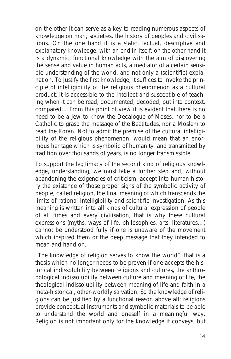on the other it can serve as a *key to reading* numerous aspects of knowledge on man, societies, the history of peoples and civilisations. On the one hand it is a static, factual, descriptive and explanatory knowledge, with an end in itself; on the other hand it is a dynamic, functional knowledge with the aim of discovering the sense and value in human acts, a mediator of a certain sensible understanding of the world, and not only a (scientific) explanation. To justify the first knowledge, it suffices to invoke the principle of intelligibility of the religious phenomenon as a cultural product: it is accessible to the intellect and susceptible of teaching when it can be read, documented, decoded, put into context, compared… From this point of view it is evident that there is no need to be a Jew to know the Decalogue of Moses, nor to be a Catholic to grasp the message of the Beatitudes, nor a Moslem to read the Koran. Not to admit the premise of the cultural intelligibility of the religious phenomenon, would mean that an enormous heritage which is symbolic of humanity and transmitted by tradition over thousands of years, is no longer transmissible.

To support the legitimacy of the second kind of religious knowledge, understanding, we must take a further step and, without abandoning the exigencies of criticism, accept into human history the existence of those proper signs of the symbolic activity of people, called religion, the final meaning of which transcends the limits of rational intelligibility and scientific investigation. As this meaning is written into all kinds of cultural expression of people of all times and every civilisation, that is why these cultural expressions (myths, ways of life, philosophies, arts, literatures…) cannot be understood fully if one is unaware of the movement which inspired them or the deep message that they intended to mean and hand on.

"The knowledge of religion serves to know the world": that is a thesis which no longer needs to be proven if one accepts the historical indissolubility between religions and cultures, the anthropological indissolubility between culture and meaning of life, the theological indissolubility between meaning of life and faith in a meta-historical, other-worldly salvation. So the knowledge of religions can be justified by a functional reason above all: religions provide conceptual instruments and symbolic materials to be able to understand the world and oneself in a meaningful way. Religion is not important only for the knowledge it conveys, but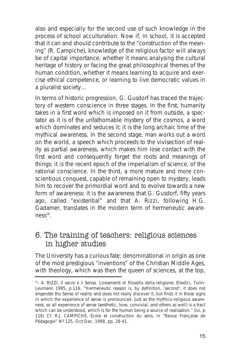also and especially for the second use of such knowledge in the process of school acculturation. Now if, in school, it is accepted that it can and should contribute to the "construction of the meaning" (R. Campiche), knowledge of the religious factor will always be of capital importance, whether it means analysing the cultural heritage of history or facing the great philosophical themes of the human condition, whether it means learning to acquire and exercise ethical competence, or learning to live democratic values in a pluralist society…

In terms of historic progression, G. Gusdorf has traced the trajectory of western conscience in three stages. In the first, humanity takes in a first word which is imposed on it from outside, a spectator as it is of the unfathomable mystery of the cosmos, a word which dominates and seduces it: it is the long archaic time of the mythical awareness. In the second stage, man works out a word on the world, a speech which proceeds to the vivisection of reality as partial awareness, which makes him lose contact with the first word and consequently forget the roots and meanings of things: it is the recent epoch of the imperialism of science, of the rational conscience. In the third, a more mature and more conscientious conquest, capable of remaining open to mystery, leads him to recover the primordial word and to evolve towards a new form of awareness: it is the awareness that G. Gusdorf, fifty years ago, called "existential" and that A. Rizzi, following H.G. Gadamer, translates in the modern term of hermeneutic aware $ness<sup>18</sup>$ .

### 6. The training of teachers: religious sciences in higher studies

The University has a curious fate: denominational in origin as one of the most prestigious "inventions" of the Christian Middle Ages, with theology, which was then the queen of sciences, at the top,

<sup>18-</sup> A. RIZZI, Il sacro e il Senso. Lineamenti di filosofia della religione, Elledici, Turin-Leumann 1995, p.116. "Hermeneutic reason is, by definition, 'second'; it does not engender the Sense of reality and does not really discover it, but finds it in those signs in which the experience of sense is pronounced. Just as the mythico-religious awareness, so all experience of sense (aesthetic, love, convivial, and others as well) is a tract which can be understood, which is for the human being a source of realisation." (ivi, p 116) Cf. R.J. CAMPICHE, École et construction du sens, in "Revue Française de Pédagogie" Nº 125, Oct-Dec. 1998, pp. 28-41.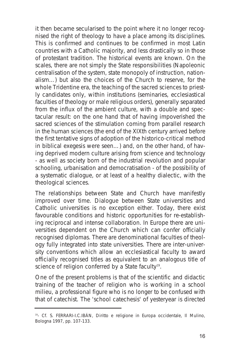it then became secularised to the point where it no longer recognised the right of theology to have a place among its disciplines. This is confirmed and continues to be confirmed in most Latin countries with a Catholic majority, and less drastically so in those of protestant tradition. The historical events are known. On the scales, there are not simply the State responsibilities (Napoleonic centralisation of the system, state monopoly of instruction, nationalism…) but also the choices of the Church to reserve, for the whole Tridentine era, the teaching of the sacred sciences to priestly candidates only, within institutions (seminaries, ecclesiastical faculties of theology or male religious orders), generally separated from the influx of the ambient culture, with a double and spectacular result: on the one hand that of having impoverished the sacred sciences of the stimulation coming from parallel research in the human sciences (the end of the XIXth century arrived before the first tentative signs of adoption of the historico-critical method in biblical exegesis were seen…) and, on the other hand, of having deprived modern culture arising from science and technology - as well as society born of the industrial revolution and popular schooling, urbanisation and democratisation - of the possibility of a systematic dialogue, or at least of a healthy dialectic, with the theological sciences.

The relationships between State and Church have manifestly improved over time. Dialogue between State universities and Catholic universities is no exception either. Today, there exist favourable conditions and historic opportunities for re-establishing reciprocal and intense collaboration. In Europe there are universities dependent on the Church which can confer officially recognised diplomas. There are denominational faculties of theology fully integrated into state universities. There are inter-university conventions which allow an ecclesiastical faculty to award officially recognised titles as equivalent to an analogous title of science of religion conferred by a State faculty<sup>19</sup>.

One of the present problems is that of the scientific and didactic training of the teacher of religion who is working in a school milieu, a professional figure who is no longer to be confused with that of catechist. The 'school catechesis' of yesteryear is directed

<sup>&</sup>lt;sup>19</sup>- Cf. S. FERRARI-I.C.IBÁN, Diritto e religione in Europa occidentale, Il Mulino, Bologna 1997, pp. 107-133.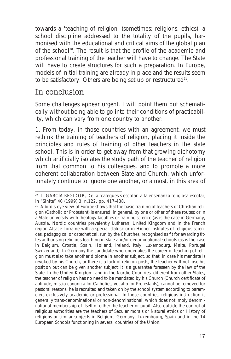towards a 'teaching of religion' (sometimes: religions, ethics): a school discipline addressed to the totality of the pupils, harmonised with the educational and critical aims of the global plan of the school20. The result is that the profile of the academic and professional training of the teacher will have to change. The State will have to create structures for such a preparation. In Europe, models of initial training are already in place and the results seem to be satisfactory. Others are being set up or restructured<sup>21</sup>.

### In conclusion

Some challenges appear urgent. I will point them out schematically without being able to go into their conditions of practicability, which can vary from one country to another:

1. From today, in those countries with an agreement, we must rethink the training of teachers of religion, placing it inside the principles and rules of training of other teachers in the state school. This is in order to get away from that growing dichotomy which artificially isolates the study path of the teacher of religion from that common to his colleagues, and to promote a more coherent collaboration between State and Church, which unfortunately continue to ignore one another, or almost, in this area of

<sup>&</sup>lt;sup>20</sup>- T. GARCÍA REGIDOR, De la 'catequesis escolar' a la enseñanza religiosa escolar, in "Sinite" 40 (1999) 3, n.122, pp. 417-438.

<sup>&</sup>lt;sup>21</sup>- A bird's-eye view of Europe shows that the basic training of teachers of Christian religion (Catholic or Protestant) is ensured, in general, by one or other of these routes: or in a State university with theology faculties or training science (as is the case in Germany, Austria, Nordic countries prevalently Lutheran, United Kingdom and in the French region Alsace-Lorraine with a special status); or in Higher Institutes of religious sciences, pedagogical or catechetical, run by the Churches, recognised as fit for awarding titles authorising religious teaching in state and/or denominational schools (as is the case in Belgium, Croatia, Spain, Holland, Ireland, Italy, Luxembourg, Malta, Portugal Switzerland). In Germany the candidate who undertakes the career of teaching of religion must also take another diploma in another subject, so that, in case his mandate is revoked by his Church, or there is a lack of religion posts, the teacher will not lose his position but can be given another subject: it is a guarantee foreseen by the law of the State. In the United Kingdom, and in the Nordic Countries, different from other States, the teacher of religion has no need to be mandated by his Church (Church certificate of aptitude, missio canonica for Catholics, vocatio for Protestants), cannot be removed for pastoral reasons; he is recruited and taken on by the school system according to parameters exclusively academic or professional. In those countries, religious instruction is generally trans-denominational or non-denominational, which does not imply denominational membership of itself of either the teacher or pupil. Also outside the control of religious authorities are the teachers of Secular morals or Natural ethics or History of religions or similar subjects in Belgium, Germany, Luxembourg, Spain and in the 14 European Schools functioning in several countries of the Union.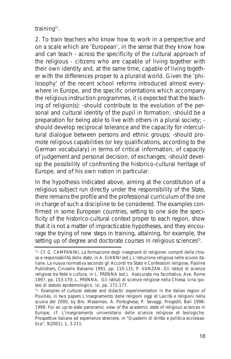training<sup>22</sup>.

2. To train teachers who know how to work in a perspective and on a scale which are 'European', in the sense that they know how and can teach - across the specificity of the cultural approach of the religious - citizens who are capable of living together with their own identity and, at the same time, capable of living together with the differences proper to a pluralist world. Given the 'philosophy' of the recent school reforms introduced almost everywhere in Europe, and the specific orientations which accompany the religious instruction programmes, it is expected that the teaching of religion(s): -should contribute to the evolution of the personal and cultural identity of the pupil in formation; -should be a preparation for being able to live with others in a plural society; should develop reciprocal tolerance and the capacity for intercultural dialogue between persons and ethnic groups; -should promote religious capabilities (or key qualifications, according to the German vocabulary) in terms of critical information, of capacity of judgement and personal decision, of exchanges; -should develop the possibility of confronting the historico-cultural heritage of Europe, and of his own nation in particular.

In the hypothesis indicated above, aiming at the constitution of a religious subject run directly under the responsibility of the State, there remains the profile and the professional curriculum of the one in charge of such a discipline to be considered. The examples confirmed in some European countries, setting to one side the specificity of the historico-cultural context proper to each region, show that it is not a matter of impracticable hypotheses, and they encourage the trying of new steps in training, attaining, for example, the setting up of degree and doctorate courses in religious sciences<sup>23</sup>.

<sup>&</sup>lt;sup>22</sup>- Cf. G. CAMPANINI, La formazione degli insegnanti di religione: compiti della chiesa e responsabilità dello stato, in A. GIANNI (ed.), L'istruzione religiosa nelle scuole italiane. La nuova normativa secondo gli Accordi tra Stato e Confessioni religiose, Paoline Publishers, Cinisello Balsamo 1991, pp. 110-131; P. VANZAN, Gli istituti di scienze religiose tra fede e cultura, in L. PRENNA (ed.), Assicurata ma facoltativa, Ave, Rome 1997, pp. 153-170; L. PRENNA, Gli istituti di scienze religiose nella Chiesa. Una ipotesi di statuto epistemologico, ivi, pp. 171-177.

<sup>&</sup>lt;sup>23</sup>- Examples of cultural debate and didactic experimentation in the Italian region of Pouilles, in two papers L'insegnamento delle religioni oggi et Laicità e religioni nella scuola del 2000, by Bro. Massimeo, A. Portoghese, P. Sevaggi, Progedit, Bari 1998- 1999. For an up-to-date panoramic view of the academic state of religious sciences in Europe, cf. L'insegnamento universitario delle scienze religiose et teologiche. Prospettive italiane ed esperienze straniere, in "Quaderni di diritto e politica ecclesiastica", 9(2001), 1, 3-211.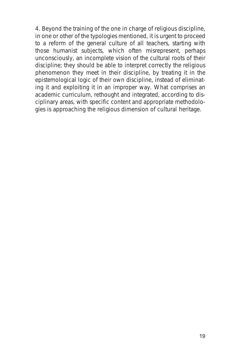4. Beyond the training of the one in charge of religious discipline, in one or other of the typologies mentioned, it is urgent to proceed to a reform of the general culture of all teachers, starting with those humanist subjects, which often misrepresent, perhaps unconsciously, an incomplete vision of the cultural roots of their discipline; they should be able to interpret correctly the religious phenomenon they meet in their discipline, by treating it in the epistemological logic of their own discipline, instead of eliminating it and exploiting it in an improper way. What comprises an academic curriculum, rethought and integrated, according to disciplinary areas, with specific content and appropriate methodologies is approaching the religious dimension of cultural heritage.